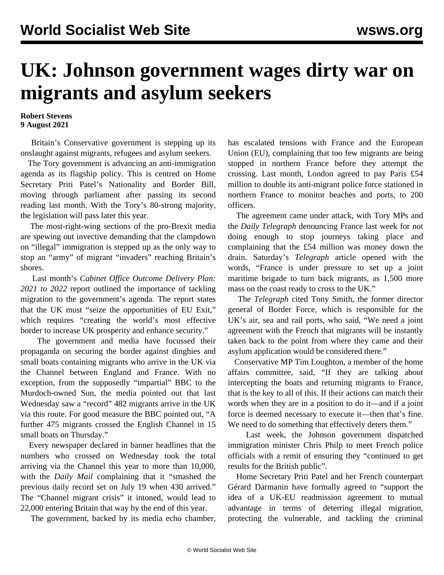## **UK: Johnson government wages dirty war on migrants and asylum seekers**

## **Robert Stevens 9 August 2021**

 Britain's Conservative government is stepping up its onslaught against migrants, refugees and asylum seekers.

 The Tory government is advancing an anti-immigration agenda as its flagship policy. This is centred on Home Secretary Priti Patel's [Nationality and Border Bill,](/en/articles/2021/07/24/immi-j24.html) moving through parliament after passing its second reading last month. With the Tory's 80-strong majority, the legislation will pass later this year.

 The most-right-wing sections of the pro-Brexit media are spewing out invective demanding that the clampdown on "illegal" immigration is stepped up as the only way to stop an "army" of migrant "invaders" reaching Britain's shores.

 Last month's *Cabinet Office Outcome Delivery Plan: 2021 to 2022* report outlined the importance of tackling migration to the government's agenda. The report states that the UK must "seize the opportunities of EU Exit," which requires "creating the world's most effective border to increase UK prosperity and enhance security."

 The government and media have focussed their propaganda on securing the border against dinghies and small boats containing migrants who arrive in the UK via the Channel between England and France. With no exception, from the supposedly "impartial" BBC to the Murdoch-owned Sun, the media pointed out that last Wednesday saw a "record" 482 migrants arrive in the UK via this route. For good measure the BBC pointed out, "A further 475 migrants crossed the English Channel in 15 small boats on Thursday."

 Every newspaper declared in banner headlines that the numbers who crossed on Wednesday took the total arriving via the Channel this year to more than 10,000, with the *Daily Mail* complaining that it "smashed the previous daily record set on July 19 when 430 arrived." The "Channel migrant crisis" it intoned, would lead to 22,000 entering Britain that way by the end of this year.

The government, backed by its media echo chamber,

has escalated tensions with France and the European Union (EU), complaining that too few migrants are being stopped in northern France before they attempt the crossing. Last month, London agreed to pay Paris £54 million to double its anti-migrant police force stationed in northern France to monitor beaches and ports, to 200 officers.

 The agreement came under attack, with Tory MPs and the *Daily Telegraph* denouncing France last week for not doing enough to stop journeys taking place and complaining that the £54 million was money down the drain. Saturday's *Telegraph* article opened with the words, "France is under pressure to set up a joint maritime brigade to turn back migrants, as 1,500 more mass on the coast ready to cross to the UK."

 The *Telegraph* cited Tony Smith, the former director general of Border Force, which is responsible for the UK's air, sea and rail ports, who said, "We need a joint agreement with the French that migrants will be instantly taken back to the point from where they came and their asylum application would be considered there."

 Conservative MP Tim Loughton, a member of the home affairs committee, said, "If they are talking about intercepting the boats and returning migrants to France, that is the key to all of this. If their actions can match their words when they are in a position to do it—and if a joint force is deemed necessary to execute it—then that's fine. We need to do something that effectively deters them."

 Last week, the Johnson government dispatched immigration minister Chris Philp to meet French police officials with a remit of ensuring they "continued to get results for the British public".

 Home Secretary Priti Patel and her French counterpart Gérard Darmanin have formally agreed to "support the idea of a UK-EU readmission agreement to mutual advantage in terms of deterring illegal migration, protecting the vulnerable, and tackling the criminal